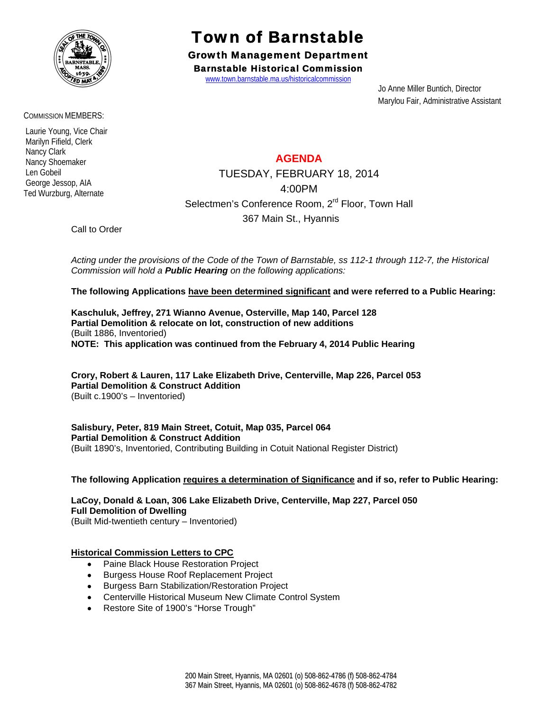

COMMISSION MEMBERS:

 Laurie Young, Vice Chair Marilyn Fifield, Clerk Nancy Clark Nancy Shoemaker Len Gobeil George Jessop, AIA Ted Wurzburg, Alternate

# Town of Barnstable

Growth Management Department Barnstable Historical Commission

www.town.barnstable.ma.us/historicalcommission

 Jo Anne Miller Buntich, Director Marylou Fair, Administrative Assistant

## **AGENDA**

TUESDAY, FEBRUARY 18, 2014 4:00PM Selectmen's Conference Room, 2<sup>rd</sup> Floor, Town Hall 367 Main St., Hyannis

Call to Order

*Acting under the provisions of the Code of the Town of Barnstable, ss 112-1 through 112-7, the Historical Commission will hold a Public Hearing on the following applications:* 

**The following Applications have been determined significant and were referred to a Public Hearing:** 

**Kaschuluk, Jeffrey, 271 Wianno Avenue, Osterville, Map 140, Parcel 128 Partial Demolition & relocate on lot, construction of new additions**  (Built 1886, Inventoried) **NOTE: This application was continued from the February 4, 2014 Public Hearing** 

**Crory, Robert & Lauren, 117 Lake Elizabeth Drive, Centerville, Map 226, Parcel 053 Partial Demolition & Construct Addition**  (Built c.1900's – Inventoried)

**Salisbury, Peter, 819 Main Street, Cotuit, Map 035, Parcel 064 Partial Demolition & Construct Addition**  (Built 1890's, Inventoried, Contributing Building in Cotuit National Register District)

**The following Application requires a determination of Significance and if so, refer to Public Hearing:** 

**LaCoy, Donald & Loan, 306 Lake Elizabeth Drive, Centerville, Map 227, Parcel 050 Full Demolition of Dwelling**  (Built Mid-twentieth century – Inventoried)

### **Historical Commission Letters to CPC**

- Paine Black House Restoration Project
- **•** Burgess House Roof Replacement Project
- **•** Burgess Barn Stabilization/Restoration Project
- Centerville Historical Museum New Climate Control System
- Restore Site of 1900's "Horse Trough"